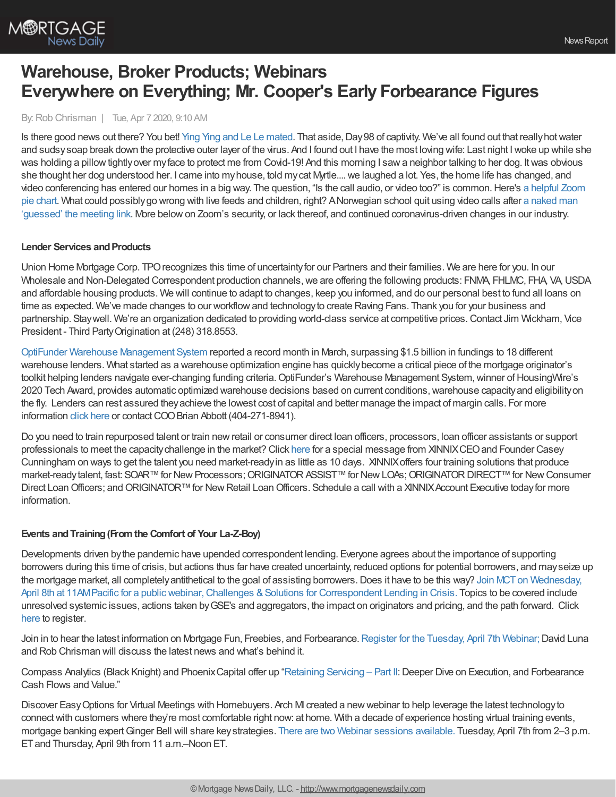

# **Warehouse, Broker Products; Webinars Everywhere on Everything; Mr. Cooper's Early Forbearance Figures**

By:Rob Chrisman | Tue, Apr 7 2020, 9:10 AM

Is there good news out there? You bet! Ying Ying and Le Le [mated](https://asiatimes.com/2020/04/hong-kongs-giant-pandas-mate-for-first-time/). That aside, Day 98 of captivity. We've all found out that really hot water and sudsy soap break down the protective outer layer of the virus. And I found out I have the most loving wife: Last night I woke up while she was holding a pillow tightlyover my face to protect me from Covid-19! And this morning I saw a neighbor talking to her dog. It was obvious she thought her dog understood her. I came into myhouse, told mycat Myrtle....we laughed a lot. Yes, the home life has changed, and video conferencing has entered our homes in a big way. The question, "Is the call audio, or video too?" is [common.Here's](https://www.facebook.com/SusanGrahamConsulting/photos/a.451824612709/10158166177847710/?type=3) a helpful Zoom pie chart. What could possiblygo wrong with live feeds and children, right? ANorwegian school quit using video calls after a naked man 'guessed' the meeting link. More belowon Zoom's security, or lack thereof, and continued [coronavirus-driven](https://techcrunch.com/2020/03/26/norwegian-school-whereby/?guccounter=1) changes in our industry.

## **Lender Services and Products**

Union Home Mortgage Corp. TPOrecognizes this time of uncertaintyfor our Partners and their families. We are here for you. In our Wholesale and Non-Delegated Correspondent production channels, we are offering the following products: FNMA, FHLMC, FHA, VA, USDA and affordable housing products. We will continue to adapt to changes, keep you informed, and do our personal best to fund all loans on time as expected. We've made changes to our workflowand technologyto create Raving Fans. Thank you for your business and partnership. Staywell. We're an organization dedicated to providing world-class service at competitive prices.Contact Jim Wickham, Vice President - Third PartyOrigination at (248) 318.8553.

OptiFunder Warehouse [Management](https://t.sidekickopen79.com/s1t/c/5/f18dQhb0S7lM8dDMPbW2n0x6l2B9nMJN7t5XWPdSD1CW2z90GR4Y8_jsTxXCx4q-9HH103?te=W3R5hFj26QkHmW4mKDt545VFJsW4hJTXV49hBZt348S2&si=8000000000205017&pi=dbcfd8d1-3c24-465b-c1ee-fe5f4273fffd) System reported a record month in March, surpassing \$1.5 billion in fundings to 18 different warehouse lenders. What started as a warehouse optimization engine has quicklybecome a critical piece of the mortgage originator's toolkit helping lenders navigate ever-changing funding criteria. OptiFunder's Warehouse Management System, winner of HousingWire's 2020 Tech Award, provides automatic optimized warehouse decisions based on current conditions,warehouse capacityand eligibilityon the fly. Lenders can rest assured theyachieve the lowest cost of capital and better manage the impact of margin calls. For more information click [here](https://t.sidekickopen79.com/s1t/c/5/f18dQhb0S7lM8dDMPbW2n0x6l2B9nMJN7t5XWPdSD1CW2z90GR4Y8_jsTxXCx4q-9HH103?te=W3R5hFj4cm2zwW43VsfZ3M8CzWW3K8K1p43T4NfW43TbtZ41-x-hW3K9Dh341NRJ94Qs4_1&si=8000000000205017&pi=dbcfd8d1-3c24-465b-c1ee-fe5f4273fffd) or contact COO Brian Abbott (404-271-8941).

Do you need to train repurposed talent or train newretail or consumer direct loan officers, processors, loan officer assistants or support professionals to meet the capacitychallenge in the market? Click [here](https://www.youtube.com/watch?v=INaE58bRwrA) for a special message from XINNIXCEOand Founder Casey Cunningham on ways to get the talent you need market-readyin as little as 10 days. XINNIXoffers four training solutions that produce market-readytalent, fast: SOAR™ for New Processors; ORIGINATOR ASSIST™ for New LOAs; ORIGINATOR DIRECT™ for New Consumer Direct Loan Officers; and ORIGINATOR™ for New Retail Loan Officers. Schedule a call with a XINNIX Account Executive today for more information.

## **Events andTraining(Fromthe Comfort of Your La-Z-Boy)**

Developments driven bythe pandemic have upended correspondent lending. Everyone agrees about the importance of supporting borrowers during this time of crisis, but actions thus far have created uncertainty, reduced options for potential borrowers, and mayseize up the mortgage market, all completely antithetical to the goal of assisting borrowers. Does it have to be this way? Join MCT on Wednesday, April 8th at 11AMPacific for a public webinar, Challenges & Solutions for Correspondent Lending in Crisis. Topics to be covered include unresolved systemic issues, actions taken byGSE's and aggregators, the impact on originators and pricing, and the path forward. Click [here](https://attendee.gotowebinar.com/register/4360056590809664524?source=chrisman) to register.

Join in to hear the latest information on Mortgage Fun, Freebies, and Forbearance. Register for the [Tuesday,](https://register.gotowebinar.com/register/5337177181763089933) April 7th Webinar; David Luna and Rob Chrisman will discuss the latest news and what's behind it.

Compass Analytics (Black Knight) and PhoenixCapital offer up ["Retaining](https://register.gotowebinar.com/register/3327209453051538189) Servicing – Part II:Deeper Dive on Execution, and Forbearance Cash Flows and Value."

Discover EasyOptions for Virtual Meetings with Homebuyers. Arch MI created a newwebinar to help leverage the latest technologyto connectwith customers where they're most comfortable right now: at home. With a decade of experience hosting virtual training events, mortgage banking expert Ginger Bell will share key strategies. There are two Webinar sessions [available.](https://zoom.us/webinar/register/WN_Rd_M99FPS4yNrUavUpzhMg?utm_medium=Email&utm_source=ExactTarget&utm_campaign=%20training_webinar) Tuesday, April 7th from 2-3 p.m. ETand Thursday, April 9th from 11 a.m.–Noon ET.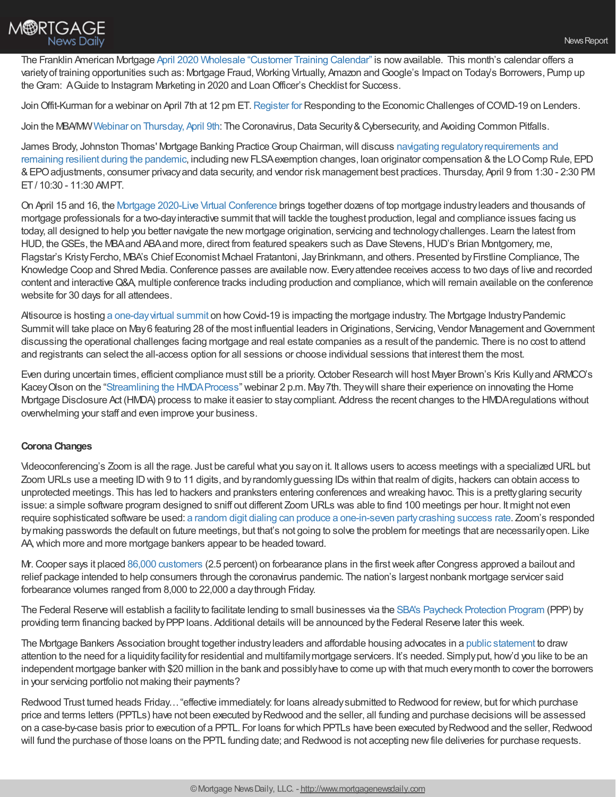

The Franklin American Mortgage April 2020 Wholesale ["Customer](https://wholesalestorefront.franklinamerican.com/calendar/) Training Calendar" is nowavailable. This month's calendar offers a varietyof training opportunities such as: Mortgage Fraud, Working Virtually, Amazon andGoogle's Impact on Today's Borrowers, Pump up theGram: AGuide to Instagram Marketing in 2020 and LoanOfficer's Checklist for Success.

Join Offit-Kurman for a webinar on April 7th at 12 pm ET. [Register](https://register.gotowebinar.com/register/4815501795273335822) for Responding to the Economic Challenges of COVID-19 on Lenders.

Join the MBA/MWWebinar on [Thursday,](https://www.mbamw.org/ev_calendar_day.asp?date=4/9/2020&eventid=109) April 9th: The Coronavirus, Data Security & Cybersecurity, and Avoiding Common Pitfalls.

James Brody, Johnston Thomas' Mortgage Banking Practice Group Chairman, will discuss navigating regulatory requirements and remaining resilient during the pandemic, including newFLSAexemption changes, loan originator compensation &the LOComp Rule, EPD &EPOadjustments, consumer privacyand data security, and vendor risk management best practices. Thursday, April 9 from 1:30 - 2:30 PM ET/ 10:30 - 11:30 AMPT.

On April 15 and 16, the Mortgage 2020-Live Virtual [Conference](https://www.knowledgecoop.com/products/revcon-mortgage-2020) brings together dozens of top mortgage industryleaders and thousands of mortgage professionals for a two-dayinteractive summit thatwill tackle the toughest production, legal and compliance issues facing us today, all designed to help you better navigate the new mortgage origination, servicing and technologychallenges. Learn the latest from HUD, the GSEs, the MBA and ABA and more, direct from featured speakers such as Dave Stevens, HUD's Brian Montgomery, me, Flagstar's KristyFercho, MBA's Chief Economist Michael Fratantoni, JayBrinkmann, and others. Presented byFirstline Compliance, The Knowledge Coop and Shred Media. Conference passes are available now. Every attendee receives access to two days of live and recorded content and interactiveQ&A, multiple conference tracks including production and compliance,which will remain available on the conference website for 30 days for all attendees.

Altisource is hosting a one-day virtual summit on how Covid-19 is impacting the mortgage industry. The Mortgage Industry Pandemic Summit will take place on May 6 featuring 28 of the most influential leaders in Originations, Servicing, Vendor Management and Government discussing the operational challenges facing mortgage and real estate companies as a result of the pandemic. There is no cost to attend and registrants can select the all-access option for all sessions or choose individual sessions that interest them the most.

Even during uncertain times, efficient compliance must still be a priority.October Research will host Mayer Brown's Kris Kullyand ARMCO's KaceyOlson on the "Streamlining the [HMDAProcess"](https://www.octoberstore.com/Streamlining_the_HMDA_Process_p/orw050720.htm) webinar 2 p.m. May7th. Theywill share their experience on innovating the Home Mortgage Disclosure Act (HMDA) process to make it easier to staycompliant. Address the recent changes to the HMDAregulations without overwhelming your staff and even improve your business.

## **Corona Changes**

Videoconferencing's Zoom is all the rage. Just be careful what you sayon it. It allows users to access meetings with a specialized URL but Zoom URLs use a meeting IDwith 9 to 11 digits, and byrandomlyguessing IDs within that realm of digits, hackers can obtain access to unprotected meetings. This has led to hackers and pranksters entering conferences and wreaking havoc. This is a prettyglaring security issue: a simple software program designed to sniff out different Zoom URLs was able to find 100 meetings per hour. It might not even require sophisticated software be used: a random digit dialing can produce a one-in-seven [partycrashing](https://krebsonsecurity.com/2020/04/war-dialing-tool-exposes-zooms-password-problems/) success rate. Zoom's responded bymaking passwords the default on future meetings, but that's not going to solve the problem for meetings that are necessarilyopen. Like AA,which more and more mortgage bankers appear to be headed toward.

Mr.Cooper says it placed 86,000 [customers](https://www.dallasnews.com/business/banking/2020/04/06/coppell-based-mr-cooper-puts-86000-customers-on-mortgage-forbearance-plans/) (2.5 percent) on forbearance plans in the firstweek after Congress approved a bailout and relief package intended to help consumers through the coronavirus pandemic. The nation's largest nonbank mortgage servicer said forbearance volumes ranged from 8,000 to 22,000 a daythrough Friday.

The Federal Reserve will establish a facilityto facilitate lending to small businesses via the SBA's Paycheck [Protection](https://www.federalreserve.gov/newsevents/pressreleases/monetary20200406a.htm?) Program (PPP) by providing term financing backed byPPPloans. Additional details will be announced bythe Federal Reserve later this week.

The Mortgage Bankers Association brought together industryleaders and affordable housing advocates in a public [statement](http://mba-pa.informz.net/z/cjUucD9taT03ODc3MTAxJnA9MSZ1PTkxMjA2OTUxMyZsaT02NDYyOTg0MQ/index.html) to draw attention to the need for a liquidityfacilityfor residential and multifamilymortgage servicers. It's needed. Simplyput, how'd you like to be an independent mortgage banker with \$20 million in the bank and possiblyhave to come up with that much everymonth to cover the borrowers in your servicing portfolio not making their payments?

Redwood Trust turned heads Friday…"effective immediately: for loans alreadysubmitted to Redwood for review, but for which purchase price and terms letters (PPTLs) have not been executed byRedwood and the seller, all funding and purchase decisions will be assessed on a case-by-case basis prior to execution of a PPTL. For loans for which PPTLs have been executed by Redwood and the seller, Redwood will fund the purchase of those loans on the PPTL funding date; and Redwood is not accepting new file deliveries for purchase requests.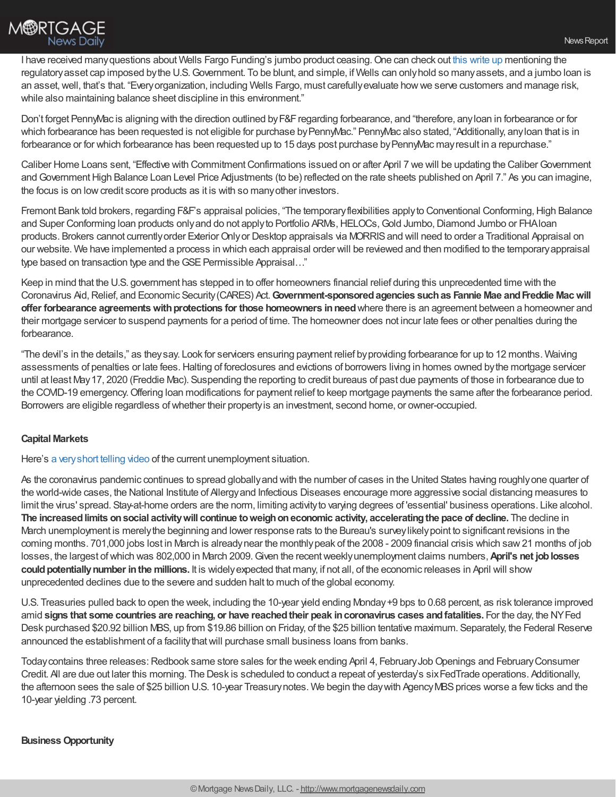

I have received many questions about Wells Fargo Funding's jumbo product ceasing. One can check out this [write](https://www.bizjournals.com/sanfrancisco/news/2020/04/05/wells-fargo-closes-loan-window-for-sba-relief.html?ana=apple_albuquerque) up mentioning the regulatoryasset cap imposed bythe U.S.Government. To be blunt, and simple, if Wells can onlyhold so manyassets, and a jumbo loan is an asset,well, that's that. "Everyorganization, including Wells Fargo, must carefullyevaluate howwe serve customers and manage risk, while also maintaining balance sheet discipline in this environment."

Don't forget PennyMac is aligning with the direction outlined by F&F regarding forbearance, and "therefore, any loan in forbearance or for which forbearance has been requested is not eligible for purchase by PennyMac." PennyMac also stated, "Additionally, any loan that is in forbearance or for which forbearance has been requested up to 15 days post purchase by PennyMac may result in a repurchase."

Caliber Home Loans sent, "Effective with Commitment Confirmations issued on or after April 7 we will be updating the Caliber Government and Government High Balance Loan Level Price Adjustments (to be) reflected on the rate sheets published on April 7." As you can imagine, the focus is on lowcredit score products as it is with so manyother investors.

Fremont Bank told brokers, regarding F&F's appraisal policies, "The temporary flexibilities apply to Conventional Conforming, High Balance and Super Conforming loan products only and do not apply to Portfolio ARMs, HELOCs, Gold Jumbo, Diamond Jumbo or FHA loan products. Brokers cannot currently order Exterior Only or Desktop appraisals via MORRIS and will need to order a Traditional Appraisal on our website. We have implemented a process in which each appraisal order will be reviewed and then modified to the temporaryappraisal type based on transaction type and the GSE Permissible Appraisal..."

Keep in mind that the U.S. government has stepped in to offer homeowners financial relief during this unprecedented time with the Coronavirus Aid,Relief, and Economic Security(CARES) Act.**Government-sponsoredagencies suchas Fannie Mae andFreddie Macwill offer forbearance agreements with protections for those homeowners in need where there is an agreement between a homeowner and** their mortgage servicer to suspend payments for a period of time. The homeowner does not incur late fees or other penalties during the forbearance.

"The devil's in the details," as theysay. Look for servicers ensuring payment relief byproviding forbearance for up to 12 months. Waiving assessments of penalties or late fees. Halting of foreclosures and evictions of borrowers living in homes owned by the mortgage servicer until at least May17, 2020 (Freddie Mac). Suspending the reporting to credit bureaus of past due payments of those in forbearance due to the COVID-19 emergency.Offering loan modifications for payment relief to keep mortgage payments the same after the forbearance period. Borrowers are eligible regardless ofwhether their propertyis an investment, second home, or owner-occupied.

## **Capital Markets**

Here's a [veryshort](https://www.facebook.com/100002157655597/posts/2951546078260618/?d=n) telling video of the current unemployment situation.

As the coronavirus pandemic continues to spread globallyand with the number of cases in the United States having roughlyone quarter of the world-wide cases, the National Institute of Allergyand Infectious Diseases encourage more aggressive social distancing measures to limit the virus' spread. Stay-at-home orders are the norm, limiting activityto varying degrees of 'essential' business operations. Like alcohol. **The increasedlimits onsocial activitywill continue toweighoneconomic activity, acceleratingthe pace of decline.** The decline in March unemployment is merelythe beginning and lower response rats to the Bureau's surveylikelypoint to significant revisions in the coming months. 701,000 jobs lost in March is alreadynear the monthlypeak of the 2008 - 2009 financial crisis which saw21 months of job losses, the largest ofwhich was 802,000 in March 2009.Given the recentweeklyunemployment claims numbers,**April's net joblosses** could potentially number in the millions. It is widely expected that many, if not all, of the economic releases in April will show unprecedented declines due to the severe and sudden halt to much of the global economy.

U.S. Treasuries pulled back to open the week, including the 10-year yield ending Monday+9 bps to 0.68 percent, as risk tolerance improved amid **signs that some countries are reaching, or have reachedtheir peak incoronavirus cases andfatalities.** For the day, the NYFed Desk purchased \$20.92 billion MBS, up from \$19.86 billion on Friday, of the \$25 billion tentative maximum. Separately, the Federal Reserve announced the establishment of a facility that will purchase small business loans from banks.

Today contains three releases: Redbook same store sales for the week ending April 4, February Job Openings and February Consumer Credit. All are due out later this morning. The Desk is scheduled to conduct a repeat of yesterday's sixFedTrade operations. Additionally, the afternoon sees the sale of \$25 billion U.S. 10-year Treasury notes. We begin the day with Agency MBS prices worse a few ticks and the 10-year yielding .73 percent.

## **BusinessOpportunity**